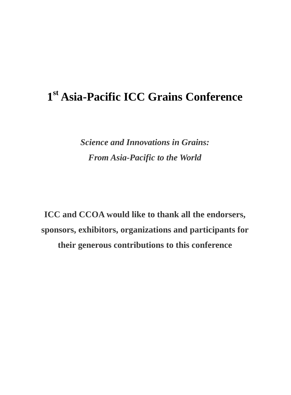# **1 st Asia-Pacific ICC Grains Conference**

*Science and Innovations in Grains: From Asia-Pacific to the World*

**ICC and CCOA would like to thank all the endorsers, sponsors, exhibitors, organizations and participants for their generous contributions to this conference**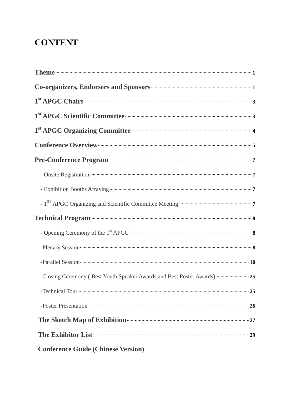# **CONTENT**

| Co-organizers, Endorsers and Sponsors <b>CONSERVING 2018</b>                         |
|--------------------------------------------------------------------------------------|
|                                                                                      |
| 1 <sup>st</sup> APGC Scientific Committee <b>Committee</b> 3                         |
|                                                                                      |
| Conference Overview <b>Exercise Conference</b> 5                                     |
| Pre-Conference Program (27) 7                                                        |
|                                                                                      |
|                                                                                      |
|                                                                                      |
| Technical Program <b>contract and the Contract of Australian Contract and Street</b> |
|                                                                                      |
|                                                                                      |
|                                                                                      |
| -Closing Ceremony (Best Youth Speaker Awards and Best Poster Awards)  25             |
|                                                                                      |
| -Poster Presentation $\cdots$ 26                                                     |
| The Sketch Map of Exhibition <b>Commission</b> 27                                    |
| The Exhibitor List <b>Exhibitor</b> List <b>Exhibitor</b> List <b>Exhibits</b> 29    |
| <b>Conference Guide (Chinese Version)</b>                                            |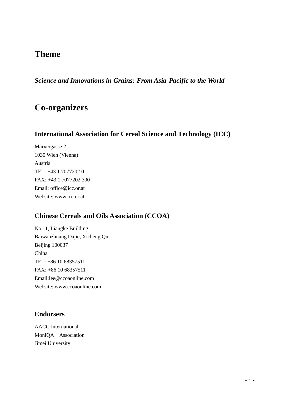# **Theme**

*Science and Innovations in Grains: From Asia-Pacific to the World*

# **Co-organizers**

# **International Association for Cereal Science and Technology (ICC)**

Marxergasse 2 1030 Wien (Vienna) Austria TEL: +43 1 7077202 0 FAX: +43 1 7077202 300 Email: office@icc.or.at Website: www.icc.or.at

# **Chinese Cereals and Oils Association (CCOA)**

No.11, Liangke Building Baiwanzhuang Dajie, Xicheng Qu Beijing 100037 China TEL: +86 10 68357511 FAX: +86 10 68357511 Email:lee@ccoaonline.com Website: www.ccoaonline.com

# **Endorsers**

AACC International MoniQA Association Jimei University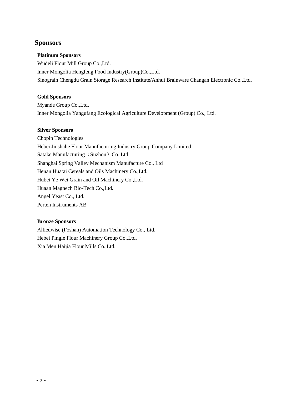## **Sponsors**

### **Platinum Sponsors**

Wudeli Flour Mill Group Co.,Ltd. Inner Mongolia Hengfeng Food Industry(Group)Co.,Ltd. Sinograin Chengdu Grain Storage Research Institute/Anhui Brainware Changan Electronic Co.,Ltd.

### **Gold Sponsors**

Myande Group Co.,Ltd. Inner Mongolia Yangufang Ecological Agriculture Development (Group) Co., Ltd.

### **Silver Sponsors**

Chopin Technologies Hebei Jinshahe Flour Manufacturing Industry Group Company Limited Satake Manufacturing (Suzhou) Co.,Ltd. Shanghai Spring Valley Mechanism Manufacture Co., Ltd Henan Huatai Cereals and Oils Machinery Co.,Ltd. Hubei Ye Wei Grain and Oil Machinery Co.,Ltd. Huaan Magnech Bio-Tech Co.,Ltd. Angel Yeast Co., Ltd. Perten Instruments AB

#### **Bronze Sponsors**

Alliedwise (Foshan) Automation Technology Co., Ltd. Hebei Pingle Flour Machinery Group Co.,Ltd. Xia Men Haijia Flour Mills Co.,Ltd.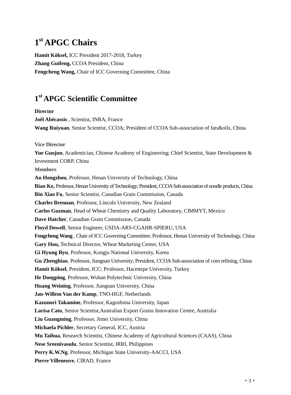# **1 st APGC Chairs**

**Hamit Köksel,** ICC President 2017-2018, Turkey **Zhang Guifeng,** CCOA President, China **Fengcheng Wang,** Chair of ICC Governing Committee, China

# **1 st APGC Scientific Committee**

**Director Joël Abécassis** , Scientist, INRA, France **Wang Ruiyuan**, Senior Scientist, CCOA; President of CCOA Sub-association of fats&oils, China **Vice Director** Yue Guojun, Academician, Chinese Academy of Engineering; Chief Scientist, State Development & Investment CORP, China **Members An Hongzhou**, Professor, Henan University of Technology, China **Bian Ke,** Professor, Henan University of Technology; President, CCOA Sub-association of noodle products, China **Bin Xiao Fu**, Senior Scientist, Canadian Grain Commission, Canada **Charles Brennan**, Professor, Lincoln University, New Zealand **Carlos Guzman**, Head of Wheat Chemistry and Quality Laboratory, CIMMYT, Mexico **Dave Hatcher**, Canadian Grain Commission, Canada **Floyd Dowell**, Senior Engineer, USDA-ARS-CGAHR-SPIERU, USA **Fengcheng Wang** , Chair of ICC Governing Committee; Professor, Henan University of Technology, China **Gary Hou,** Technical Director, Wheat Marketing Center, USA **Gi Hyung Ryu**, Professor, Kongju National University, Korea **Gu Zhengbiao**, Professor, Jiangnan University; President, CCOA Sub-association of corn refining, China **Hamit Köksel**, President, ICC; Professor, Hacettepe University, Turkey **He Dongping**, Professor, Wuhan Polytechnic University, China **Huang Weining**, Professor, Jiangnan University, China **Jan-Willem Van der Kamp**, TNO-HGF, Netherlands **Kazunori Takamine**, Professor, Kagoshima University, Japan **Larisa Cato**, Senior Scientist,Australian Export Grains Innovation Centre, Australia **Liu Guangming**, Professor, Jimei University, China **Michaela Pichler**, Secretary General, ICC, Austria **Mu Taihua**, Research Scientist, Chinese Academy of Agricultural Sciences (CAAS), China **Nese Sreenivasulu**, Senior Scientist, IRRI, Philippines **Perry K.W.Ng**, Professor, Michigan State University-AACCI, USA **Pierre Villeneuve**, CIRAD, France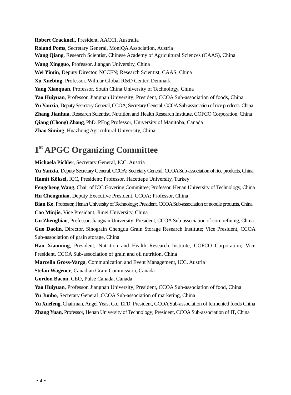**Robert Cracknel**l, President, AACCI, Australia **Roland Poms**, Secretary General, MoniQA Association, Austria **Wang Qiang**, Research Scientist, Chinese Academy of Agricultural Sciences (CAAS), China **Wang Xingguo**, Professor, Jiangan University, China **Wei Yimin**, Deputy Director, NCCFN; Research Scientist, CAAS, China **Xu Xuebing**, Professor, Wilmar Global R&D Center, Denmark **Yang Xiaoquan**, Professor, South China University of Technology, China **Yao Huiyuan**, Professor, Jiangnan University; President, CCOA Sub-association of foods, China **Yu Yanxia**, Deputy Secretary General, CCOA; Secretary General, CCOA Sub-association of rice products, China **Zhang Jianhua**, Research Scientist, Nutrition and Health Research Institute, COFCO Corporation, China **Qiang (Chong) Zhang**, PhD, PEng Professor, University of Manitoba, Canada **Zhao Siming**, Huazhong Agricultural University, China

# **1 st APGC Organizing Committee**

**Michaela Pichler**, Secretary General, ICC, Austria **Yu Yanxia,** Deputy Secretary General, CCOA; Secretary General, CCOA Sub-association of rice products, China **Hamit Köksel,** ICC, President; Professor, Hacettepe University, Turkey **Fengcheng Wang**, Chair of ICC Govering Committee; Professor, Henan University of Technology, China **Hu Chengmiao**, Deputy Executive President, CCOA; Professor, China **Bian Ke**, Professor, Henan University of Technology; President, CCOA Sub-association of noodle products, China **Cao Minjie,** Vice Presidant, Jimei University, China **Gu Zhengbiao**, Professor, Jiangnan University; President, CCOA Sub-association of corn refining, China **Guo Daolin**, Director, Sinograin Chengdu Grain Storage Research Institute; Vice President, CCOA Sub-association of grain storage, China **Hao Xiaoming**, President, Nutrition and Health Research Institute, COFCO Corporation; Vice President, CCOA Sub-association of grain and oil nutrition, China **Marcella Gross-Varga**, Communication and Event Management, ICC, Austria **Stefan Wagener**, Canadian Grain Commission, Canada **Gordon Bacon**, CEO, Pulse Canada, Canada **Yao Huiyuan**, Professor, Jiangnan University; President, CCOA Sub-association of food, China Yu Junbo, Secretary General , CCOA Sub-association of marketing, China **Yu Xuefeng,** Chairman, Angel Yeast Co., LTD; President, CCOA Sub-association of fermented foods China **Zhang Yuan,** Professor, Henan University of Technology; President, CCOA Sub-association of IT, China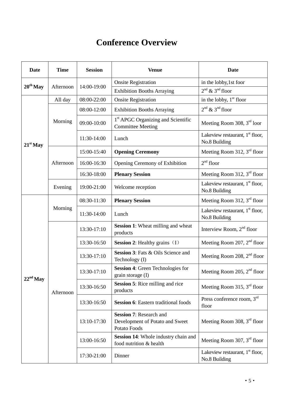# **Conference Overview**

| Date          | <b>Time</b> | <b>Session</b> | <b>Venue</b>                                                                      | <b>Date</b>                                        |
|---------------|-------------|----------------|-----------------------------------------------------------------------------------|----------------------------------------------------|
| $20^{th}$ May |             |                | <b>Onsite Registration</b>                                                        | in the lobby, 1st foor                             |
|               | Afternoon   | 14:00-19:00    | <b>Exhibition Booths Arraying</b>                                                 | $2nd$ & $3nd$ floor                                |
|               | All day     | 08:00-22:00    | <b>Onsite Registration</b>                                                        | in the lobby, $1st$ floor                          |
|               |             | 08:00-12:00    | <b>Exhibition Booths Arraying</b>                                                 | $2nd$ & $3nd$ floor                                |
|               | Morning     | 09:00-10:00    | 1 <sup>st</sup> APGC Organizing and Scientific<br><b>Committee Meeting</b>        | Meeting Room 308, $3rd$ loor                       |
| $21st$ May    |             | 11:30-14:00    | Lunch                                                                             | Lakeview restaurant, $1st$ floor,<br>No.8 Building |
|               |             | 15:00-15:40    | <b>Opening Ceremony</b>                                                           | Meeting Room 312, $3rd$ floor                      |
|               | Afternoon   | 16:00-16:30    | Opening Ceremony of Exhibition                                                    | $2nd$ floor                                        |
|               |             | 16:30-18:00    | <b>Plenary Session</b>                                                            | Meeting Room 312, 3rd floor                        |
|               | Evening     | 19:00-21:00    | Welcome reception                                                                 | Lakeview restaurant, $1st$ floor,<br>No.8 Building |
|               | Morning     | 08:30-11:30    | <b>Plenary Session</b>                                                            | Meeting Room 312, $3rd$ floor                      |
|               |             | 11:30-14:00    | Lunch                                                                             | Lakeview restaurant, $1st$ floor,<br>No.8 Building |
|               | Afternoon   | 13:30-17:10    | Session 1: Wheat milling and wheat<br>products                                    | Interview Room, $2nd$ floor                        |
|               |             | 13:30-16:50    | <b>Session 2:</b> Healthy grains $(I)$                                            | Meeting Room 207, $2nd$ floor                      |
|               |             | 13:30-17:10    | <b>Session 3: Fats &amp; Oils Science and</b><br>Technology (I)                   | Meeting Room 208, 2 <sup>nd</sup> floor            |
| $22nd$ May    |             | 13:30-17:10    | Session 4: Green Technologies for<br>grain storage (I)                            | Meeting Room 205, $2nd$ floor                      |
|               |             | 13:30-16:50    | <b>Session 5:</b> Rice milling and rice<br>products                               | Meeting Room 315, $3rd$ floor                      |
|               |             | 13:30-16:50    | <b>Session 6:</b> Eastern traditional foods                                       | Press conference room, 3rd<br>floor                |
|               |             | 13:10-17:30    | <b>Session 7: Research and</b><br>Development of Potato and Sweet<br>Potato Foods | Meeting Room 308, $3rd$ floor                      |
|               |             | 13:00-16:50    | Session 14: Whole industry chain and<br>food nutrition & health                   | Meeting Room 307, $3rd$ floor                      |
|               |             | 17:30-21:00    | Dinner                                                                            | Lakeview restaurant, $1st$ floor,<br>No.8 Building |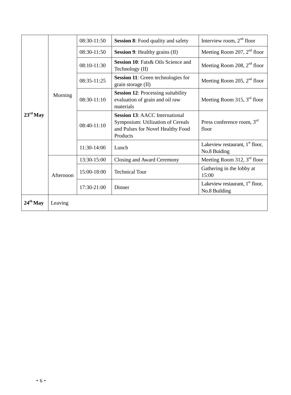| $23^{\text{rd}}$ May | Morning   | 08:30-11:50   | <b>Session 8:</b> Food quality and safety                                                                                   | Interview room, $2nd$ floor                        |
|----------------------|-----------|---------------|-----------------------------------------------------------------------------------------------------------------------------|----------------------------------------------------|
|                      |           | 08:30-11:50   | <b>Session 9:</b> Healthy grains (II)                                                                                       | Meeting Room 207, $2nd$ floor                      |
|                      |           | 08:10-11:30   | <b>Session 10:</b> Fats & Oils Science and<br>Technology (II)                                                               | Meeting Room 208, $2nd$ floor                      |
|                      |           | $08:35-11:25$ | Session 11: Green technologies for<br>grain storage (II)                                                                    | Meeting Room 205, $2nd$ floor                      |
|                      |           | $08:30-11:10$ | <b>Session 12:</b> Processing suitability<br>evaluation of grain and oil raw<br>materials                                   | Meeting Room 315, $3rd$ floor                      |
|                      |           | $08:40-11:10$ | <b>Session 13: AACC International</b><br>Symposium: Utilization of Cereals<br>and Pulses for Novel Healthy Food<br>Products | Press conference room, $3rd$<br>floor              |
|                      |           | 11:30-14:00   | Lunch                                                                                                                       | Lakeview restaurant, $1st$ floor,<br>No.8 Buiding  |
|                      | Afternoon | 13:30-15:00   | Closing and Award Ceremony                                                                                                  | Meeting Room 312, $3rd$ floor                      |
|                      |           | 15:00-18:00   | <b>Technical Tour</b>                                                                                                       | Gathering in the lobby at<br>15:00                 |
|                      |           | 17:30-21:00   | Dinner                                                                                                                      | Lakeview restaurant, $1st$ floor,<br>No.8 Building |
| $24th$ May           | Leaving   |               |                                                                                                                             |                                                    |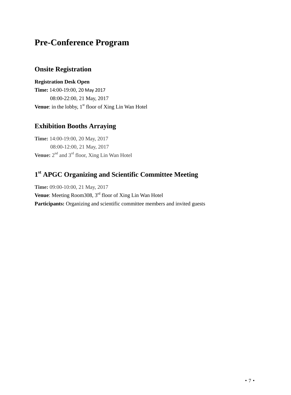# **Pre-Conference Program**

## **Onsite Registration**

**Registration Desk Open Time:** 14:00-19:00, 20 May 2017 08:00-22:00, 21 May, 2017 **Venue**: in the lobby, 1<sup>st</sup> floor of Xing Lin Wan Hotel

# **Exhibition Booths Arraying**

**Time:** 14:00-19:00, 20 May, 2017 08:00-12:00, 21 May, 2017 **Venue:** 2<sup>nd</sup> and 3<sup>rd</sup> floor, Xing Lin Wan Hotel

# **1 st APGC Organizing and Scientific Committee Meeting**

**Time:** 09:00-10:00, 21 May, 2017 **Venue**: Meeting Room308, 3<sup>rd</sup> floor of Xing Lin Wan Hotel Participants: Organizing and scientific committee members and invited guests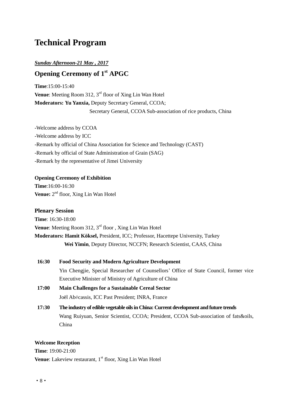# **Technical Program**

### *Sunday Afternoon-21 May , 2017*

# **Opening Ceremony of 1st APGC**

**Time**:15:00-15:40 **Venue**: Meeting Room 312, 3<sup>rd</sup> floor of Xing Lin Wan Hotel **Moderators: Yu Yanxia,** Deputy Secretary General, CCOA; Secretary General, CCOA Sub-association of rice products, China

-Welcome address by CCOA -Welcome address by ICC -Remark by official of China Association for Science and Technology (CAST) -Remark by official of State Administration of Grain (SAG) -Remark by the representative of Jimei University

### **Opening Ceremony of Exhibition**

**Time**:16:00-16:30 **Venue:** 2<sup>nd</sup> floor, Xing Lin Wan Hotel

**Plenary Session Time**: 16:30-18:00 **Venue**: Meeting Room 312, 3<sup>rd</sup> floor, Xing Lin Wan Hotel **Moderators: Hamit Köksel,** President, ICC; Professor, Hacettepe University, Turkey  **Wei Yimin**, Deputy Director, NCCFN; Research Scientist, CAAS, China

- **16:30 Food Security and Modern Agriculture Development** Yin Chengjie, Special Researcher of Counsellors' Office of State Council, former vice Executive Minister of Ministry of Agriculture of China
- **17:00 Main Challenges for a Sustainable Cereal Sector** Joël Abécassis, ICC Past President; INRA, France
- **17:30 The industry of edible vegetable oils in China: Current development and future trends** Wang Ruiyuan, Senior Scientist, CCOA; President, CCOA Sub-association of fats&oils, China

### **Welcome Reception**

**Time**: 19:00-21:00 **Venue**: Lakeview restaurant, 1<sup>st</sup> floor, Xing Lin Wan Hotel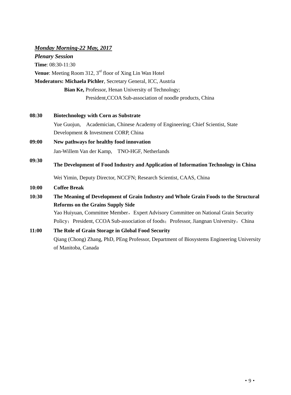## *Monday Morning-22 May, 2017*

*Plenary Session* **Time**: 08:30-11:30 **Venue**: Meeting Room 312, 3<sup>rd</sup> floor of Xing Lin Wan Hotel **Moderators: Michaela Pichler**, Secretary General, ICC, Austria **Bian Ke,** Professor, Henan University of Technology; President,CCOA Sub-association of noodle products, China

# **08:30 Biotechnology with Corn as Substrate** Yue Guojun, Academician, Chinese Academy of Engineering; Chief Scientist, State Development & Investment CORP, China **09:00 New pathways for healthy food innovation**

Jan-Willem Van der Kamp, TNO-HGF, Netherlands

#### **09:30 The Development of Food Industry and Application of Information Technology in China**

Wei Yimin, Deputy Director, NCCFN; Research Scientist, CAAS, China

### **10:00 Coffee Break**

# **10:30 The Meaning of Development of Grain Industry and Whole Grain Foods to the Structural Reforms on the Grains Supply Side**

Yao Huiyuan, Committee Member, Expert Advisory Committee on National Grain Security Policy; President, CCOA Sub-association of foods; Professor, Jiangnan University, China

# **11:00 The Role of Grain Storage in Global Food Security** Qiang (Chong) Zhang, PhD, PEng Professor, Department of Biosystems Engineering University of Manitoba, Canada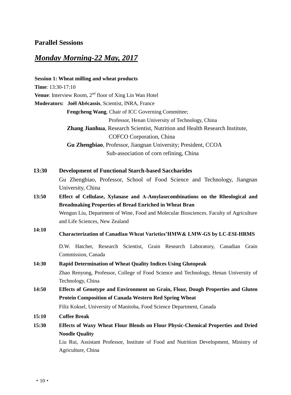## **Parallel Sessions**

# *Monday Morning-22 May, 2017*

**Session 1: Wheat milling and wheat products Time**: 13:30-17:10 **Venue**: Interview Room, 2<sup>nd</sup> floor of Xing Lin Wan Hotel **Moderators: Joël Ab**é**cassis**, Scientist, INRA, France **Fengcheng Wang**, Chair of ICC Governing Committee; Professor, Henan University of Technology, China **Zhang Jianhua**, Research Scientist, Nutrition and Health Research Institute, COFCO Corporation, China  **Gu Zhengbiao**, Professor, Jiangnan University; President, CCOA Sub-association of corn refining, China **13:30 Development of Functional Starch-based Saccharides** Gu Zhengbiao, Professor, School of Food Science and Technology, Jiangnan University, China **13:50 Effect of Cellulase, Xylanase and Α-Amylasecombinations on the Rheological and Breadmaking Properties of Bread Enriched in Wheat Bran** Wengun Liu, Department of Wine, Food and Molecular Biosciences. Faculty of Agriculture and Life Sciences, New Zealand **14:10 Characterization of Canadian Wheat Varieties'HMW& LMW-GS by LC-ESI-HRMS** D.W. Hatcher, Research Scientist, Grain Research Laboratory, Canadian Grain Commission, Canada **14:30 Rapid Determination of Wheat Quality Indices Using Glutopeak** Zhao Renyong, Professor, College of Food Science and Technology, Henan University of Technology, China **14:50 Effects of Genotype and Environment on Grain, Flour, Dough Properties and Gluten Protein Composition of Canada Western Red Spring Wheat** Filiz Koksel, University of Manitoba, Food Science Department, Canada **15:10 Coffee Break 15:30 Effects of Waxy Wheat Flour Blends on Flour Physic-Chemical Properties and Dried Noodle Quality** Liu Rui, Assistant Professor, Institute of Food and Nutrition Development, Ministry of

Agriculture, China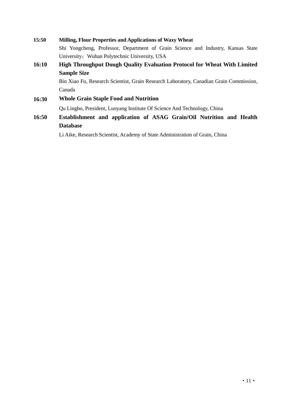| 15:50                                         | <b>Milling, Flour Properties and Applications of Waxy Wheat</b>                                       |  |  |
|-----------------------------------------------|-------------------------------------------------------------------------------------------------------|--|--|
|                                               | Shi Yongcheng, Professor, Department of Grain Science and Industry, Kansas State                      |  |  |
| University; Wuhan Polytechnic University, USA |                                                                                                       |  |  |
| 16:10                                         | <b>High Throughput Dough Quality Evaluation Protocol for Wheat With Limited</b><br><b>Sample Size</b> |  |  |
|                                               |                                                                                                       |  |  |
|                                               | Bin Xiao Fu, Research Scientist, Grain Research Laboratory, Canadian Grain Commission,                |  |  |
| Canada                                        |                                                                                                       |  |  |
| 16:30                                         | <b>Whole Grain Staple Food and Nutrition</b>                                                          |  |  |
|                                               | Qu Lingbo, President, Luoyang Institute Of Science And Technology, China                              |  |  |
| 16:50                                         | Establishment and application of ASAG Grain/Oil Nutrition and Health                                  |  |  |
|                                               | <b>Database</b>                                                                                       |  |  |

Li Aike, Research Scientist, Academy of State Administration of Grain, China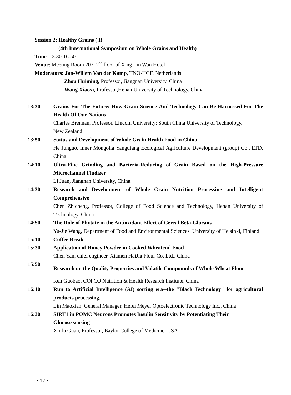|       | <b>Session 2: Healthy Grains (I)</b>                                                          |
|-------|-----------------------------------------------------------------------------------------------|
|       | (4th International Symposium on Whole Grains and Health)                                      |
|       | Time: 13:30-16:50                                                                             |
|       | Venue: Meeting Room 207, 2 <sup>nd</sup> floor of Xing Lin Wan Hotel                          |
|       | Moderators: Jan-Willem Van der Kamp, TNO-HGF, Netherlands                                     |
|       | Zhou Huiming, Professor, Jiangnan University, China                                           |
|       | Wang Xiaoxi, Professor, Henan University of Technology, China                                 |
| 13:30 | Grains For The Future: How Grain Science And Technology Can Be Harnessed For The              |
|       | <b>Health Of Our Nations</b>                                                                  |
|       | Charles Brennan, Professor, Lincoln University; South China University of Technology,         |
|       | New Zealand                                                                                   |
| 13:50 | <b>Status and Development of Whole Grain Health Food in China</b>                             |
|       | He Junguo, Inner Mongolia Yangufang Ecological Agriculture Development (group) Co., LTD,      |
|       | China                                                                                         |
| 14:10 | Ultra-Fine Grinding and Bacteria-Reducing of Grain Based on the High-Pressure                 |
|       | <b>Microchannel Fludizer</b>                                                                  |
|       | Li Juan, Jiangnan University, China                                                           |
| 14:30 | Research and Development of Whole Grain Nutrition Processing and Intelligent<br>Comprehensive |
|       | Chen Zhicheng, Professor, College of Food Science and Technology, Henan University of         |
|       | Technology, China                                                                             |
| 14:50 | The Role of Phytate in the Antioxidant Effect of Cereal Beta-Glucans                          |
|       | Yu-Jie Wang, Department of Food and Environmental Sciences, University of Helsinki, Finland   |
| 15:10 | <b>Coffee Break</b>                                                                           |
| 15:30 | <b>Application of Honey Powder in Cooked Wheatend Food</b>                                    |
|       | Chen Yan, chief engineer, Xiamen HaiJia Flour Co. Ltd., China                                 |
| 15:50 | Research on the Quality Properties and Volatile Compounds of Whole Wheat Flour                |
|       | Ren Guobao, COFCO Nutrition & Health Research Institute, China                                |
| 16:10 | Run to Artificial Intelligence (AI) sorting era--the "Black Technology" for agricultural      |
|       | products processing.                                                                          |
|       | Lin Maoxian, General Manager, Hefei Meyer Optoelectronic Technology Inc., China               |
| 16:30 | <b>SIRT1 in POMC Neurons Promotes Insulin Sensitivity by Potentiating Their</b>               |
|       | <b>Glucose sensing</b>                                                                        |
|       | Xinfu Guan, Professor, Baylor College of Medicine, USA                                        |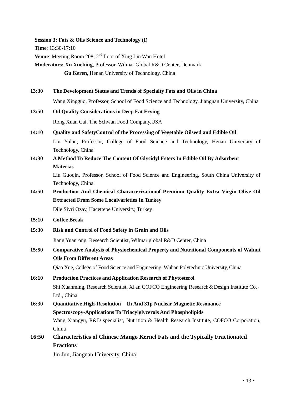#### **Session 3: Fats & Oils Science and Technology (I)**

**Time**: 13:30-17:10

**Venue**: Meeting Room 208, 2<sup>nd</sup> floor of Xing Lin Wan Hotel

**Moderators: Xu Xuebing**, Professor, Wilmar Global R&D Center, Denmark **Gu Keren**, Henan University of Technology, China

**13:30 The Development Status and Trends of Specialty Fats and Oils in China** Wang Xingguo, Professor, School of Food Science and Technology, Jiangnan University, China **13:50 Oil Quality Considerations in Deep Fat Frying**

Rong Xuan Cai, The Schwan Food Company,USA

- **14:10 Quality and SafetyControl of the Processing of Vegetable Oilseed and Edible Oil** Liu Yulan, Professor, College of Food Science and Technology, Henan University of Technology, China
- **14:30 A Method To Reduce The Content Of Glycidyl Esters In Edible Oil By Adsorbent Materias**

Liu Guoqin, Professor, School of Food Science and Engineering, South China University of Technology, China

**14:50 Production And Chemical Characterizationof Premium Quality Extra Virgin Olive Oil Extracted From Some Localvarieties In Turkey**

Dile Sivri Ozay, Hacettepe University, Turkey

- **15:10 Coffee Break**
- **15:30 Risk and Control of Food Safety in Grain and Oils**

Jiang Yuanrong, Research Scientist, Wilmar global R&D Center, China

**15:50 Comparative Analysis of Physiochemical Property and Nutritional Components of Walnut Oils From Different Areas**

Qiao Xue, College of Food Science and Engineering, Wuhan Polytechnic University, China

- **16:10 Production Practices and Application Research of Phytosterol** Shi Xuanming, Research Scientist, Xi'an COFCO Engineering Research&Design Institute Co., Ltd., China
- **16:30 Quantitative High-Resolution 1h And 31p Nuclear Magnetic Resonance Spectroscopy-Applications To Triacylglycerols And Phospholipids** Wang Xiangyu, R&D specialist, Nutrition & Health Research Institute, COFCO Corporation, China
- **16:50 Characteristics of Chinese Mango Kernel Fats and the Typically Fractionated Fractions**

Jin Jun, Jiangnan University, China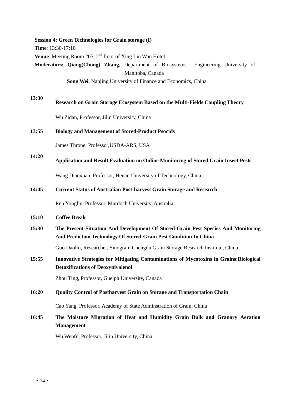**Session 4: Green Technologies for Grain storage (I) Time**: 13:30-17:10 **Venue**: Meeting Room 205, 2<sup>nd</sup> floor of Xing Lin Wan Hotel **Moderators: Qiang(Chong) Zhang,** Department of Biosystems Engineering University of Manitoba, Canada **Song Wei**, Nanjing University of Finance and Economics, China

# **13:30 Research on Grain Storage Ecosystem Based on the Multi-Fields Coupling Theory** Wu Zidan, Professor, Jilin University, China

#### **13:55 Biology and Management of Stored-Product Psocids**

James Throne, Professor,USDA-ARS, USA

#### **14:20 Application and Result Evaluation on Online Monitoring of Stored Grain Insect Pests**

Wang Dianxuan, Professor, Henan University of Technology, China

#### **14:45 Current Status of Australian Post-harvest Grain Storage and Research**

Ren Yonglin, Professor, Murdoch University, Australia

#### **15:10 Coffee Break**

**15:30 The Present Situation And Development Of Stored-Grain Pest Species And Monitoring And Prediction Technology Of Stored-Grain Pest Condition In China**

Guo Daolin, Researcher, Sinograin Chengdu Grain Storage Research Institute, China

**15:55 Innovative Strategies for Mitigating Contaminations of Mycotoxins in Grains:Biological Detoxifications of Deoxynivalenol**

Zhou Ting, Professor, Guelph University, Canada

#### **16:20 Quality Control of Postharvest Grain on Storage and Transportation Chain**

Cao Yang, Professor, Academy of State Adminstration of Grain, China

**16:45 The Moisture Migration of Heat and Humidity Grain Bulk and Granary Aeration Management**

Wu Wenfu, Professor, Jilin University, China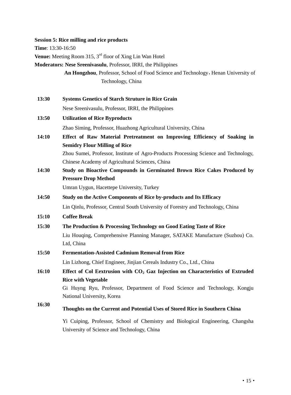**Session 5: Rice milling and rice products**

**Time**: 13:30-16:50

Venue: Meeting Room 315, 3<sup>rd</sup> floor of Xing Lin Wan Hotel

**Moderators: Nese Sreenivasulu**, Professor, IRRI, the Philippines

An Hongzhou, Professor, School of Food Science and Technology, Henan University of Technology, China

- **13:30 Systems Genetics of Starch Struture in Rice Grain** Nese Sreenivasulu, Professor, IRRI, the Philippines
- **13:50 Utilization of Rice Byproducts** Zhao Siming, Professor, Huazhong Agricultural University, China
- **14:10 Effect of Raw Material Pretreatment on Improving Efficiency of Soaking in Semidry Flour Milling of Rice** Zhou Sumei, Professor, Institute of Agro-Products Processing Science and Technology,

Chinese Academy of Agricultural Sciences, China

**14:30 Study on Bioactive Compounds in Germinated Brown Rice Cakes Produced by Pressure Drop Method**

Umran Uygun, Hacettepe University, Turkey

- **14:50 Study on the Active Components of Rice by-products and Its Efficacy** Lin Qinlu, Professor, Central South University of Forestry and Technology, China
- **15:10 Coffee Break**
- **15:30 The Production & Processing Technology on Good Eating Taste of Rice** Liu Houqing, Comprehensive Planning Manager, SATAKE Manufacture (Suzhou) Co. Ltd, China
- **15:50 Fermentation-Assisted Cadmium Removal from Rice**

Lin Lizhong, Chief Engineer, Jinjian Cereals Industry Co., Ltd., China

**16:10 Effect of Col Eextrusion with CO<sup>2</sup> Gaz Injection on Characteristics of Extruded Rice with Vegetable**

> Gi Huyng Ryu, Professor, Department of Food Science and Technology, Kongju National University, Korea

**16:30 Thoughts on the Current and Potential Uses of Stored Rice in Southern China**

> Yi Cuiping, Professor, School of Chemistry and Biological Engineering, Changsha University of Science and Technology, China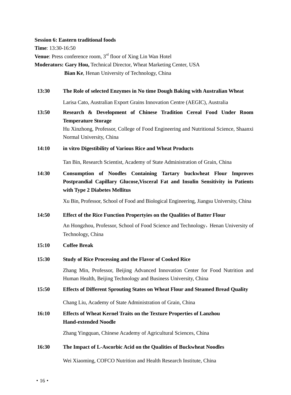#### **Session 6: Eastern traditional foods**

**Time**: 13:30-16:50

**Venue**: Press conference room, 3<sup>rd</sup> floor of Xing Lin Wan Hotel

**Moderators: Gary Hou,** Technical Director, Wheat Marketing Center, USA  **Bian Ke**, Henan University of Technology, China

**13:30 The Role of selected Enzymes in No time Dough Baking with Australian Wheat**

Larisa Cato, Australian Export Grains Innovation Centre (AEGIC), Australia

- **13:50 Research & Development of Chinese Tradition Cereal Food Under Room Temperature Storage** Hu Xinzhong, Professor, College of Food Engineering and Nutritional Science, Shaanxi Normal University, China
- **14:10 in vitro Digestibility of Various Rice and Wheat Products**

Tan Bin, Research Scientist, Academy of State Administration of Grain, China

**14:30 Consumption of Noodles Containing Tartary buckwheat Flour Improves Postprandial Capillary Glucose,Visceral Fat and Insulin Sensitivity in Patients with Type 2 Diabetes Mellitus**

Xu Bin, Professor, School of Food and Biological Engineering, Jiangsu University, China

#### **14:50 Effect of the Rice Function Propertyies on the Qualities of Batter Flour**

An Hongzhou, Professor, School of Food Science and Technology, Henan University of Technology, China

- **15:10 Coffee Break**
- **15:30 Study of Rice Processing and the Flavor of Cooked Rice**

Zhang Min, Professor, Beijing Advanced Innovation Center for Food Nutrition and Human Health, Beijing Technology and Business University, China

### **15:50 Effects of Different Sprouting States on Wheat Flour and Steamed Bread Quality**

Chang Liu, Academy of State Administration of Grain, China

**16:10 Effects of Wheat Kernel Traits on the Texture Properties of Lanzhou Hand-extended Noodle**

Zhang Yingquan, Chinese Academy of Agricultural Sciences, China

#### **16:30 The Impact of L-Ascorbic Acid on the Qualities of Buckwheat Noodles**

Wei Xiaoming, COFCO Nutrition and Health Research Institute, China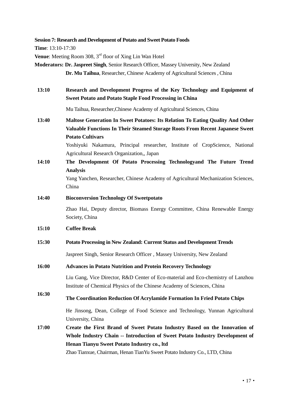**Session 7: Research and Development of Potato and Sweet Potato Foods**

**Time**: 13:10-17:30

**Venue**: Meeting Room 308, 3<sup>rd</sup> floor of Xing Lin Wan Hotel

**Moderators: Dr. Jaspreet Singh**, Senior Research Officer, Massey University, New Zealand **Dr. Mu Taihua**, Researcher, Chinese Academy of Agricultural Sciences , China

**13:10 Research and Development Progress of the Key Technology and Equipment of Sweet Potato and Potato Staple Food Processing in China**

Mu Taihua, Researcher,Chinese Academy of Agricultural Sciences, China

**13:40 Maltose Generation In Sweet Potatoes: Its Relation To Eating Quality And Other Valuable Functions In Their Steamed Storage Roots From Recent Japanese Sweet Potato Cultivars**

> Yoshiyuki Nakamura, Principal researcher, Institute of CropScience, National Agricultural Research Organization,, Japan

**14:10 The Development Of Potato Processing Technologyand The Future Trend Analysis**

Yang Yanchen, Researcher, Chinese Academy of Agricultural Mechanization Sciences, China

#### **14:40 Bioconversion Technology Of Sweetpotato**

Zhao Hai, Deputy director, Biomass Energy Committee, China Renewable Energy Society, China

#### **15:10 Coffee Break**

**15:30 Potato Processing in New Zealand: Current Status and Development Trends**

Jaspreet Singh, Senior Research Officer , Massey University, New Zealand

#### **16:00 Advances in Potato Nutrition and Protein Recovery Technology**

Liu Gang, Vice Director, R&D Center of Eco-material and Eco-chemistry of Lanzhou Institute of Chemical Physics of the Chinese Academy of Sciences, China

#### **16:30 The Coordination Reduction Of Acrylamide Formation In Fried Potato Chips**

He Jinsong, Dean, College of Food Science and Technology, Yunnan Agricultural University, China

**17:00 Create the First Brand of Sweet Potato Industry Based on the Innovation of Whole Industry Chain -- Introduction of Sweet Potato Industry Development of Henan Tianyu Sweet Potato Industry co., ltd**

Zhao Tianxue, Chairman, Henan TianYu Sweet Potato Industry Co., LTD, China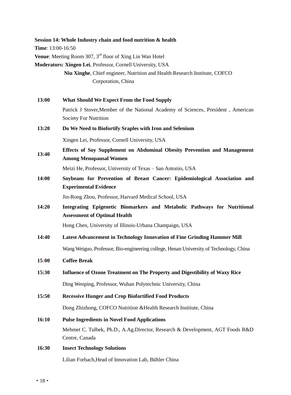**Session 14: Whole Industry chain and food nutrition & health Time**: 13:00-16:50 **Venue**: Meeting Room 307, 3<sup>rd</sup> floor of Xing Lin Wan Hotel **Moderators: Xingen Lei**, Professor, Cornell University, USA **Niu Xinghe**, Chief engineer, Nutrition and Health Research Institute, COFCO Corporation, China **13:00 What Should We Expect From the Food Supply** Patrick J Stover,Member of the National Academy of Sciences, President , American Society For Nutrition **13:20 Do We Need to Biofortify Sraples with Iron and Selenium** Xingen Lei, Professor, Cornell University, USA **13:40 Effects of Soy Supplement on Abdominal Obesity Prevention and Management Among Menopausal Women** Meizi He, Professor, University of Texas – San Antonio, USA **14:00 Soybeans for Prevention of Breast Cancer: Epidemiological Association and Experimental Evidence** Jin-Rong Zhou, Professor, Harvard Medical School, USA **14:20 Integrating Epigenetic Biomarkers and Metabolic Pathways for Nutritional Assessment of Optimal Health** Hong Chen, University of Illinois-Urbana Champaign, USA **14:40 Latest Advancement in Technology Innovation of Fine Grinding Hammer Mill** Wang Weiguo, Professor, Bio-engineering college, Henan University of Technology, China **15:00 Coffee Break 15:30 Influence of Ozone Treatment on The Property and Digestibility of Waxy Rice** Ding Wenping, Professor, Wuhan Polytechnic University, China **15:50 Recessive Hunger and Crop Biofortified Food Products** Dong Zhizhong, COFCO Nutrition &Health Research Institute, China **16:10 Pulse Ingredients in Novel Food Applications** Mehmet C. Tulbek, Ph.D., A.Ag.Director, Research & Development, AGT Foods R&D Centre, Canada **16:30 Insect Technology Solutions** Lilian Forbach,Head of Innovation Lab, Bühler China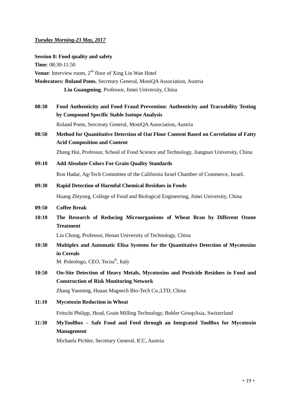### *Tuesday Morning-23 May, 2017*

#### **Session 8: Food quality and safety**

**Time**: 08:30-11:50 **Venue**: Interview room, 2<sup>nd</sup> floor of Xing Lin Wan Hotel **Moderators: Roland Poms**, Secretary General, MoniQA Association, Austria  **Liu Guangming**, Professor, Jimei University, China

- **08:30 Food Authenticity and Food Fraud Prevention: Authenticity and Traceability Testing by Compound Specific Stable Isotope Analysis** Roland Poms, Sercreaty General, MoniQA Association, Austria
- **08:50 Method for Quantitative Detection of Oat Flour Content Based on Correlation of Fatty Acid Composition and Content**

Zhang Hui, Professor, School of Food Science and Technology, Jiangnan University, China

- **09:10 Add Absolute Colors For Grain Quality Standards** Ron Hadar, Ag-Tech Committee of the California Israel Chamber of Commerce, IsraeL
- **09:30 Rapid Detection of Harmful Chemical Residues in Foods** Huang Zhiyong, College of Food and Biological Engineering, Jimei University, China
- **09:50 Coffee Break**
- **10:10 The Research of Reducing Microorganisms of Wheat Bran by Different Ozone Treatment**

Liu Chong, Professor, Henan University of Technology, China

**10:30 Multiplex and Automatic Elisa Systems for the Quantitative Detection of Mycotoxins in Cereals**

M. Poleologo, CEO, Tecna®, Italy

**10:50 On-Site Detection of Heavy Metals, Mycotoxins and Pesticide Residues in Food and Construction of Risk Monitoring Network**

Zhang Yanming, Huaan Magnech Bio-Tech Co.,LTD, China

**11:10 Mycotoxin Reduction in Wheat**

Fritschi Philipp, Head, Grain Milling Technology, Buhler GroupAsia, Switzerland

**11:30 MyToolBox – Safe Food and Feed through an Integrated ToolBox for Mycotoxin Management**

Michaela Pichler, Secretary General, ICC, Austria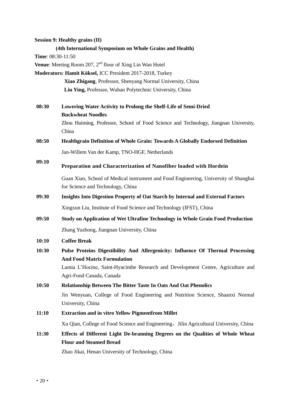**Session 9: Healthy grains (II) (4th International Symposium on Whole Grains and Health) Time**: 08:30-11:50 **Venue**: Meeting Room 207, 2<sup>nd</sup> floor of Xing Lin Wan Hotel **Moderators: Hamit Köksel,** ICC President 2017-2018, Turkey  **Xiao Zhigang**, Professor, Shenyang Normal University, China **Liu Ying,** Professor, Wuhan Polytechnic University, China **08:30 Lowering Water Activity to Prolong the Shelf-Life of Semi-Dried Buckwheat Noodles** Zhou Huiming, Professor, School of Food Science and Technology, Jiangnan University, China **08:50 Healthgrain Definition of Whole Grain: Towards A Globally Endorsed Definition** Jan-Willem Van der Kamp, TNO-HGF, Netherlands **09:10 Preparation and Characterization of Nanofiber loaded with Hordein**  Guan Xiao, School of Medical instrument and Food Engineering, University of Shanghai for Science and Technology, China **09:30 Insights Into Digestion Property of Oat Starch by Internal and External Factors** Xingxun Liu, Institute of Food Science and Technology (IFST), China **09:50 Study on Application of Wet Ultrafine Technology in Whole Grain Food Production** Zhang Yuzhong, Jiangnan University, China **10:10 Coffee Break 10:30 Pulse Proteins Digestibility And Allergenicity: Influence Of Thermal Processing And Food Matrix Formulation** Lamia L'Hocine, Saint-Hyacinthe Research and Development Centre, Agriculture and Agri-Food Canada, Canada **10:50 Relationship Between The Bitter Taste In Oats And Oat Phenolics** Jin Wenyuan, College of Food Engineering and Nutrition Science, Shaanxi Normal University, China **11:10 Extraction and in vitro Yellow Pigmentfrom Millet** Xu Qian, College of Food Science and Engineering, Jilin Agricultural University, China **11:30 Effects of Different Light De-branning Degrees on the Qualities of Whole Wheat Flour and Steamed Bread** Zhao Jikai, Henan University of Technology, China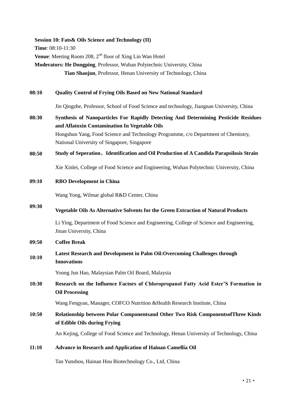**Session 10: Fats& Oils Science and Technology (II)**

**Time**: 08:10-11:30

**Venue**: Meeting Room 208, 2<sup>nd</sup> floor of Xing Lin Wan Hotel

**Moderators: He Dongping**, Professor, Wuhan Polytechnic University, China  **Tian Shaojun**, Professor, Henan University of Technology, China

### **08:10 Quality Control of Frying Oils Based on New National Standard**

Jin Qingzhe, Professor, School of Food Science and technology, Jiangnan University, China

**08:30 Synthesis of Nanoparticles For Rapidly Detecting And Determining Pesticide Residues and Aflatoxin Contamination In Vegetable Oils** Hongshun Yang, Food Science and Technology Programme, c/o Department of Chemistry, National University of Singapore, Singapore

### **08:50 Study of Seperation**、**Identification and Oil Production of A Candida Parapsilosis Strain**

Xie Xinlei, College of Food Science and Engineering, Wuhan Polytechnic University, China

**09:10 RBO Development in China**

Wang Yong, Wilmar global R&D Center, China

#### **09:30 Vegetable Oils As Alternative Solvents for the Green Extraction of Natural Products**

Li Ying, Department of Food Science and Engineering, College of Science and Engineering, Jinan University, China

### **09:50 Coffee Break**

#### **10:10 Latest Research and Development in Palm Oil:Overcoming Challenges through Innovations**

Yoong Jun Hao, Malaysian Palm Oil Board, Malaysia

**10:30 Research on the Influence Factors of Chloropropanol Fatty Acid Ester'S Formation in Oil Processing**

Wang Fengyan, Manager, COFCO Nutrition &Health Research Institute, China

## **10:50 Relationship between Polar Componentsand Other Two Risk ComponentsofThree Kinds of Edible Oils during Frying**

An Kejing, College of Food Science and Technology, Henan University of Technology, China

#### **11:10 Advance in Research and Application of Hainan Camellia Oil**

Tan Yunshou, Hainan Hou Biotechnology Co., Ltd, China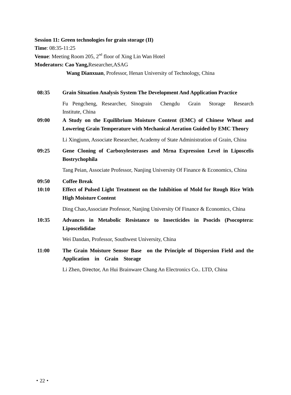**Session 11: Green technologies for grain storage (II)**

**Time**: 08:35-11:25 **Venue**: Meeting Room 205, 2<sup>nd</sup> floor of Xing Lin Wan Hotel

**Moderators: Cao Yang,**Researcher,ASAG

**Wang Dianxuan**, Professor, Henan University of Technology, China

**08:35 Grain Situation Analysis System The Development And Application Practice** Fu Pengcheng, Researcher, Sinograin Chengdu Grain Storage Research Institute, China **09:00 A Study on the Equilibrium Moisture Content (EMC) of Chinese Wheat and Lowering Grain Temperature with Mechanical Aeration Guided by EMC Theory** Li Xingjunn, Associate Researcher, Academy of State Administration of Grain, China **09:25 Gene Cloning of Carboxylesterases and Mrna Expression Level in Liposcelis Bostrychophila** Tang Peian, Associate Professor, Nanjing University Of Finance & Economics, China **09:50 Coffee Break 10:10 Effect of Pulsed Light Treatment on the Inhibition of Mold for Rough Rice With High Moisture Content** Ding Chao,Associate Professor, Nanjing University Of Finance & Economics, China **10:35 Advances in Metabolic Resistance to Insecticides in Psocids (Psocoptera: Liposcelididae**

Wei Dandan, Professor, Southwest University, China

**11:00 The Grain Moisture Sensor Base on the Principle of Dispersion Field and the Application in Grain Storage**

Li Zhen, Director, An Hui Brainware Chang An Electronics Co.. LTD, China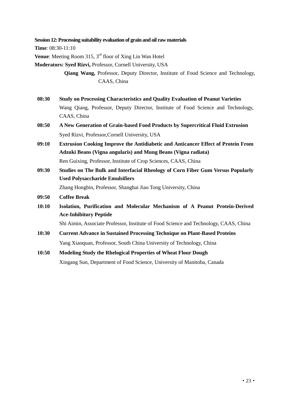**Session 12: Processing suitability evaluation of grain and oil raw materials** 

**Time**: 08:30-11:10

**Venue**: Meeting Room 315, 3<sup>rd</sup> floor of Xing Lin Wan Hotel

**Moderators: Syed Rizvi,** Professor, Cornell University, USA

 **Qiang Wang,** Professor, Deputy Director, Institute of Food Science and Technology, CAAS, China

- **08:30 Study on Processing Characteristics and Quality Evaluation of Peanut Varieties** Wang Qiang, Professor, Deputy Director, Institute of Food Science and Technology, CAAS, China
- **08:50 A New Generation of Grain-based Food Products by Supercritical Fluid Extrusion** Syed Rizvi, Professor,Cornell University, USA
- **09:10 Extrusion Cooking Improve the Antidiabetic and Anticancer Effect of Protein From Adzuki Beans (Vigna angularis) and Mung Beans (Vigna radiata)** Ren Guixing, Professor, Institute of Crop Sciences, CAAS, China
- **09:30 Studies on The Bulk and Interfacial Rheology of Corn Fiber Gum Versus Popularly Used Polysaccharide Emulsifiers**

Zhang Hongbin, Professor, Shanghai Jiao Tong University, China

- **09:50 Coffee Break**
- **10:10 Isolation, Purification and Molecular Mechanism of A Peanut Protein-Derived Ace-Inhibitory Peptide**

Shi Aimin, Associate Professor, Institute of Food Science and Technology, CAAS, China

**10:30 Current Advance in Sustained Processing Technique on Plant-Based Proteins** Yang Xiaoquan, Professor, South China University of Technology, China

## **10:50 Modeling Study the Rhelogical Properties of Wheat Flour Dough**

Xingang Sun, Department of Food Science, University of Manitoba, Canada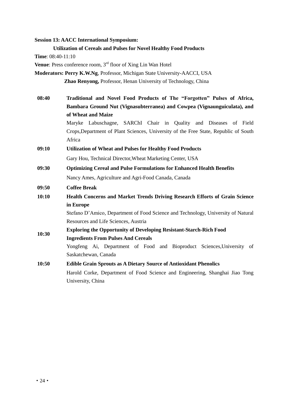**Session 13: AACC International Symposium:** 

**Time**: 08:40-11:10

**Venue**: Press conference room, 3<sup>rd</sup> floor of Xing Lin Wan Hotel

**Moderators: Perry K.W.Ng**, Professor, Michigan State University-AACCI, USA

**Zhao Renyong,** Professor, Henan University of Technology, China

**08:40 Traditional and Novel Food Products of The "Forgotten" Pulses of Africa, Bambara Ground Nut (Vignasubterranea) and Cowpea (Vignaunguiculata), and of Wheat and Maize**

Maryke Labuschagne, SARChI Chair in Quality and Diseases of Field Crops,Department of Plant Sciences, University of the Free State, Republic of South Africa

## **09:10 Utilization of Wheat and Pulses for Healthy Food Products**

Gary Hou, Technical Director,Wheat Marketing Center, USA

**09:30 Optimizing Cereal and Pulse Formulations for Enhanced Health Benefits** Nancy Ames, Agriculture and Agri-Food Canada, Canada

#### **09:50 Coffee Break**

**10:10 Health Concerns and Market Trends Driving Research Efforts of Grain Science in Europe** Stefano D'Amico, Department of Food Science and Technology, University of Natural

Resources and Life Sciences, Austria

- **10:30 Exploring the Opportunity of Developing Resistant-Starch-Rich Food Ingredients From Pulses And Cereals** Yongfeng Ai, Department of Food and Bioproduct Sciences,University of Saskatchewan, Canada
- **10:50 Edible Grain Sprouts as A Dietary Source of Antioxidant Phenolics** Harold Corke, Department of Food Science and Engineering, Shanghai Jiao Tong University, China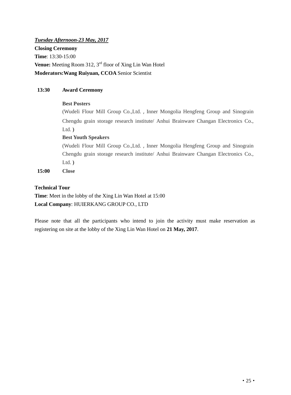# *Tuesday Afternoon-23 May, 2017* **Closing Ceremony Time**: 13:30-15:00 **Venue:** Meeting Room 312, 3<sup>rd</sup> floor of Xing Lin Wan Hotel **Moderators:Wang Ruiyuan, CCOA** Senior Scientist

### **13:30 Award Ceremony**

### **Best Posters**

(Wudeli Flour Mill Group Co.,Ltd., Inner Mongolia Hengfeng Group and Sinograin Chengdu grain storage research institute/ Anhui Brainware Changan Electronics Co., Ltd. **)**

### **Best Youth Speakers**

(Wudeli Flour Mill Group Co.,Ltd., Inner Mongolia Hengfeng Group and Sinograin Chengdu grain storage research institute/ Anhui Brainware Changan Electronics Co., Ltd. **)**

**15:00 Close**

### **Technical Tour**

**Time**: Meet in the lobby of the Xing Lin Wan Hotel at 15:00 **Local Company**: HUIERKANG GROUP CO., LTD

Please note that all the participants who intend to join the activity must make reservation as registering on site at the lobby of the Xing Lin Wan Hotel on **21 May, 2017**.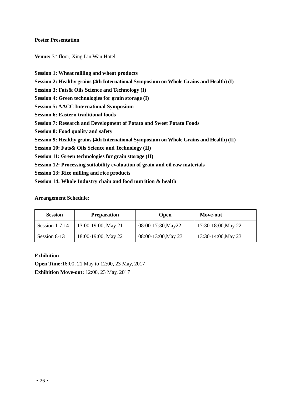#### **Poster Presentation**

**Venue:** 3 rd floor, Xing Lin Wan Hotel

- **Session 1: Wheat milling and wheat products**
- **Session 2: Healthy grains (4th International Symposium on Whole Grains and Health) (I)**
- **Session 3: Fats& Oils Science and Technology (I)**
- **Session 4: Green technologies for grain storage (I)**
- **Session 5: AACC International Symposium**
- **Session 6: Eastern traditional foods**
- **Session 7: Research and Development of Potato and Sweet Potato Foods**
- **Session 8: Food quality and safety**
- **Session 9: Healthy grains (4th International Symposium on Whole Grains and Health) (II)**
- **Session 10: Fats& Oils Science and Technology (II)**
- **Session 11: Green technologies for grain storage (II)**
- **Session 12: Processing suitability evaluation of grain and oil raw materials**
- **Session 13: Rice milling and rice products**
- **Session 14: Whole Industry chain and food nutrition & health**

#### **Arrangement Schedule:**

| <b>Session</b>   | <b>Preparation</b>  | Open                | <b>Move-out</b>     |
|------------------|---------------------|---------------------|---------------------|
| Session $1-7,14$ | 13:00-19:00, May 21 | 08:00-17:30, May 22 | 17:30-18:00, May 22 |
| Session 8-13     | 18:00-19:00, May 22 | 08:00-13:00, May 23 | 13:30-14:00, May 23 |

#### **Exhibition**

**Open Time:**16:00, 21 May to 12:00, 23 May, 2017 **Exhibition Move-out:** 12:00, 23 May, 2017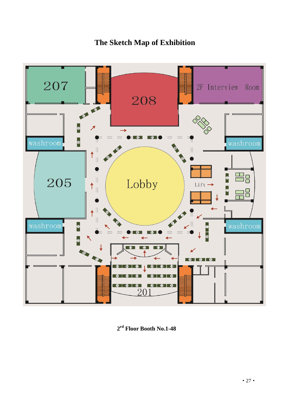# **The Sketch Map of Exhibition**



**2 rd Floor Booth No.1-48**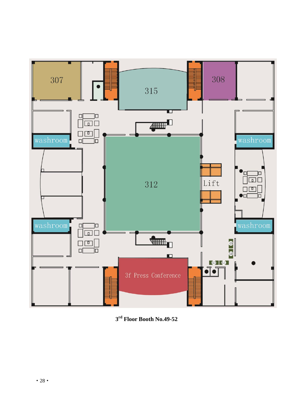

**3 rd Floor Booth No.49-52**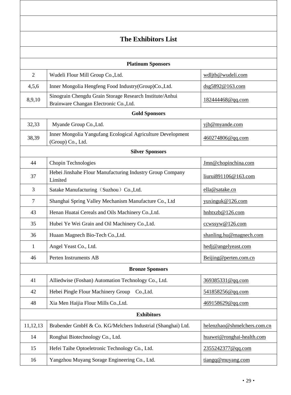|                        | <b>The Exhibitors List</b>                                                                         |                             |  |  |
|------------------------|----------------------------------------------------------------------------------------------------|-----------------------------|--|--|
|                        |                                                                                                    |                             |  |  |
|                        | <b>Platinum Sponsors</b>                                                                           |                             |  |  |
| $\overline{2}$         | Wudeli Flour Mill Group Co., Ltd.                                                                  | wdljtb@wudeli.com           |  |  |
| 4,5,6                  | Inner Mongolia Hengfeng Food Industry(Group)Co., Ltd.                                              | dsg5892@163.com             |  |  |
| 8,9,10                 | Sinograin Chengdu Grain Storage Research Institute/Anhui<br>Brainware Changan Electronic Co., Ltd. | 182444468@qq.com            |  |  |
|                        | <b>Gold Sponsors</b>                                                                               |                             |  |  |
| 32,33                  | Myande Group Co., Ltd.                                                                             | yjb@myande.com              |  |  |
| 38,39                  | Inner Mongolia Yangufang Ecological Agriculture Development<br>(Group) Co., Ltd.                   | 460274806@qq.com            |  |  |
| <b>Silver Sponsors</b> |                                                                                                    |                             |  |  |
| 44                     | Chopin Technologies                                                                                | Jmn@chopinchina.com         |  |  |
| 37                     | Hebei Jinshahe Flour Manufacturing Industry Group Company<br>Limited                               | liurui891106@163.com        |  |  |
| 3                      | Satake Manufacturing (Suzhou) Co., Ltd.                                                            | ella@satake.cn              |  |  |
| $\overline{7}$         | Shanghai Spring Valley Mechanism Manufacture Co., Ltd                                              | yuxinguk@126.com            |  |  |
| 43                     | Henan Huatai Cereals and Oils Machinery Co., Ltd.                                                  | hnhtxzb@126.com             |  |  |
| 35                     | Hubei Ye Wei Grain and Oil Machinery Co., Ltd.                                                     | ccwssyw@126.com             |  |  |
| 36                     | Huaan Magnech Bio-Tech Co., Ltd.                                                                   | shanling.hu@magnech.com     |  |  |
| $\mathbf{1}$           | Angel Yeast Co., Ltd.                                                                              | hedj@angelyeast.com         |  |  |
| 46                     | Perten Instruments AB                                                                              | Beijing@perten.com.cn       |  |  |
| <b>Bronze Sponsors</b> |                                                                                                    |                             |  |  |
| 41                     | Alliedwise (Foshan) Automation Technology Co., Ltd.                                                | 369385331@qq.com            |  |  |
| 42                     | Hebei Pingle Flour Machinery Group<br>Co., Ltd.                                                    | 541858256@qq.com            |  |  |
| 48                     | Xia Men Haijia Flour Mills Co., Ltd.                                                               | 469158629@qq.com            |  |  |
| <b>Exhibitors</b>      |                                                                                                    |                             |  |  |
| 11,12,13               | Brabender GmbH & Co. KG/Melchers Industrial (Shanghai) Ltd.                                        | helenzhao@shmelchers.com.cn |  |  |
| 14                     | Ronghai Biotechnology Co., Ltd.                                                                    | huawei@ronghai-health.com   |  |  |
| 15                     | Hefei Taihe Optoeletronic Technology Co., Ltd.                                                     | 2355242377@qq.com           |  |  |
| 16                     | Yangzhou Muyang Sorage Engineering Co., Ltd.                                                       | tiangq@muyang.com           |  |  |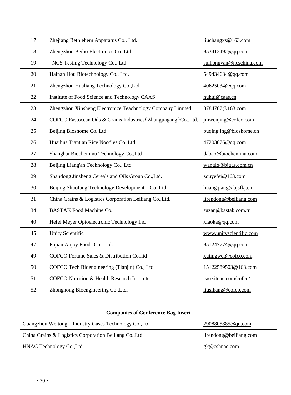| 17 | Zhejiang Bethlehem Apparatus Co., Ltd.                          | liuchangxs@163.com      |
|----|-----------------------------------------------------------------|-------------------------|
| 18 | Zhengzhou Beibo Electronics Co., Ltd.                           | 953412492@qq.com        |
| 19 | NCS Testing Technology Co., Ltd.                                | suihongyan@ncschina.com |
| 20 | Hainan Hou Biotechnology Co., Ltd.                              | 549434684@qq.com        |
| 21 | Zhengzhou Hualiang Technology Co., Ltd.                         | 40625034@qq.com         |
| 22 | Institute of Food Science and Technology CAAS                   | huhui@caas.cn           |
| 23 | Zhengzhou Xinsheng Electronice Teachnology Company Limited      | 8784707@163.com         |
| 24 | COFCO Eastocean Oils & Grains Industries (Zhangjiagang)Co.,Ltd. | jinwenjing@cofco.com    |
| 25 | Beijing Bioshome Co., Ltd.                                      | buqingjing@bioshome.cn  |
| 26 | Huaihua Tiantian Rice Noodles Co., Ltd.                         | 47203676@qq.com         |
| 27 | Shanghai Biochemmu Technology Co., Ltd                          | dabao@biochemmu.com     |
| 28 | Beijing Liang'an Technology Co., Ltd.                           | wangle@biggs.comcn      |
| 29 | Shandong Jinsheng Cereals and Oils Group Co., Ltd.              | zouyefei@163.com        |
| 30 | Beijing Shuofang Technology Development Co., Ltd.               | huangqiang@bjsfkj.cn    |
| 31 | China Grains & Logistics Corporation Beiliang Co., Ltd.         | lirendong@beiliang.com  |
| 34 | <b>BASTAK Food Machine Co.</b>                                  | suzan@bastak.com.tr     |
| 40 | Hefei Meyer Optoelectronic Technology Inc.                      | xiaoka@qq.com           |
| 45 | <b>Unity Scientific</b>                                         | www.unityscientific.com |
| 47 | Fujian Anjoy Foods Co., Ltd.                                    | 951247774@qq.com        |
| 49 | COFCO Fortune Sales & Distribution Co., ltd                     | xujingwei@cofco.com     |
| 50 | COFCO Tech Bioengineering (Tianjin) Co., Ltd.                   | 15122589503@163.com     |
| 51 | COFCO Nutrition & Health Research Institute                     | case.iteuc.com/cofco/   |
| 52 | Zhonghong Bioengineering Co., Ltd.                              | liusihang@cofco.com     |

| <b>Companies of Conference Bag Insert</b>               |                        |  |  |
|---------------------------------------------------------|------------------------|--|--|
| Guangzhou Weitong Industry Gases Technology Co., Ltd.   | 2908805885@qq.com      |  |  |
| China Grains & Logistics Corporation Beiliang Co., Ltd. | lirendong@beiliang.com |  |  |
| HNAC Technology Co., Ltd.                               | gk@cshnac.com          |  |  |